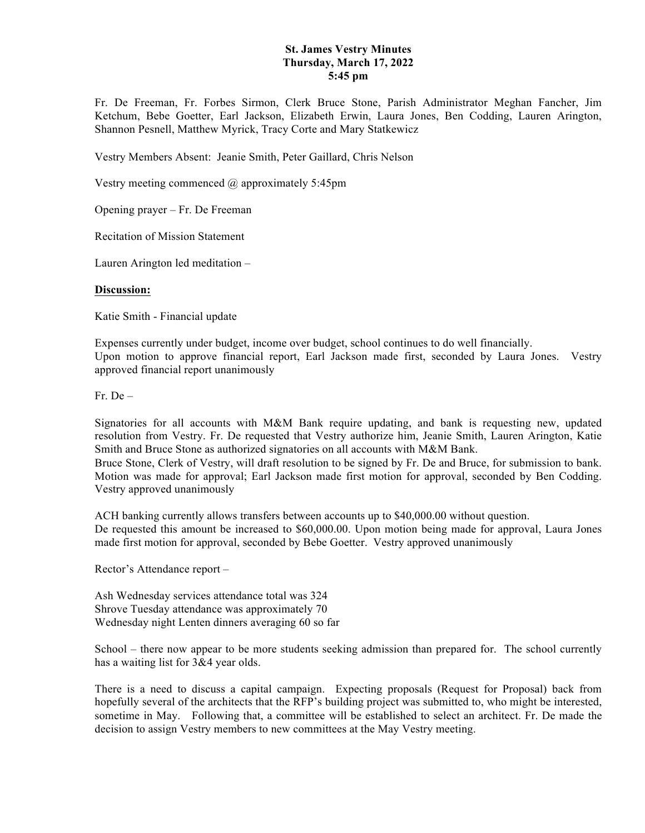## **St. James Vestry Minutes Thursday, March 17, 2022 5:45 pm**

Fr. De Freeman, Fr. Forbes Sirmon, Clerk Bruce Stone, Parish Administrator Meghan Fancher, Jim Ketchum, Bebe Goetter, Earl Jackson, Elizabeth Erwin, Laura Jones, Ben Codding, Lauren Arington, Shannon Pesnell, Matthew Myrick, Tracy Corte and Mary Statkewicz

Vestry Members Absent: Jeanie Smith, Peter Gaillard, Chris Nelson

Vestry meeting commenced @ approximately 5:45pm

Opening prayer – Fr. De Freeman

Recitation of Mission Statement

Lauren Arington led meditation –

## **Discussion:**

Katie Smith - Financial update

Expenses currently under budget, income over budget, school continues to do well financially. Upon motion to approve financial report, Earl Jackson made first, seconded by Laura Jones. Vestry approved financial report unanimously

 $Fr$  De –

Signatories for all accounts with M&M Bank require updating, and bank is requesting new, updated resolution from Vestry. Fr. De requested that Vestry authorize him, Jeanie Smith, Lauren Arington, Katie Smith and Bruce Stone as authorized signatories on all accounts with M&M Bank. Bruce Stone, Clerk of Vestry, will draft resolution to be signed by Fr. De and Bruce, for submission to bank.

Motion was made for approval; Earl Jackson made first motion for approval, seconded by Ben Codding. Vestry approved unanimously

ACH banking currently allows transfers between accounts up to \$40,000.00 without question. De requested this amount be increased to \$60,000.00. Upon motion being made for approval, Laura Jones made first motion for approval, seconded by Bebe Goetter. Vestry approved unanimously

Rector's Attendance report –

Ash Wednesday services attendance total was 324 Shrove Tuesday attendance was approximately 70 Wednesday night Lenten dinners averaging 60 so far

School – there now appear to be more students seeking admission than prepared for. The school currently has a waiting list for 3&4 year olds.

There is a need to discuss a capital campaign. Expecting proposals (Request for Proposal) back from hopefully several of the architects that the RFP's building project was submitted to, who might be interested, sometime in May. Following that, a committee will be established to select an architect. Fr. De made the decision to assign Vestry members to new committees at the May Vestry meeting.